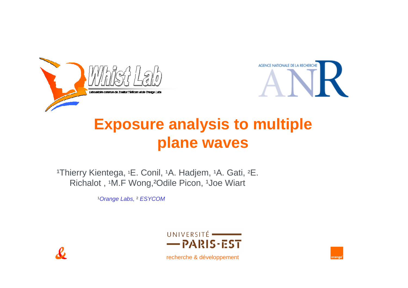



# **Exposure analysis to multiple plane waves**

<sup>1</sup>Thierry Kientega, <sup>1</sup>E. Conil, <sup>1</sup>A. Hadjem, <sup>1</sup>A. Gati, <sup>2</sup>E. Richalot, <sup>1</sup>M.F Wong, <sup>2</sup>Odile Picon, <sup>1</sup>Joe Wiart

<sup>1</sup>Orange Labs, <sup>2</sup> ESYCOM



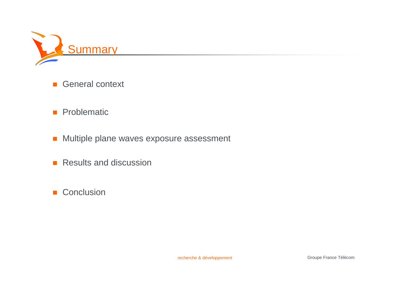

- General context
- **Problematic**
- **Nultiple plane waves exposure assessment**
- Results and discussion
- Conclusion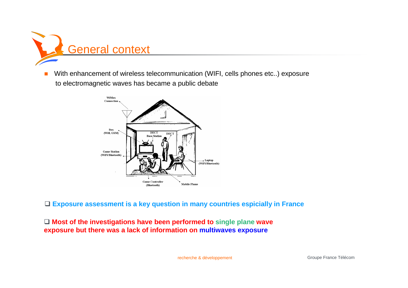

 With enhancement of wireless telecommunication (WIFI, cells phones etc..) exposure to electromagnetic waves has became a public debate



- **Exposure assessment is a key question in many countries espicially in France**

- **Most of the investigations have been performed to single plane wave exposure but there was a lack of information on multiwaves exposure**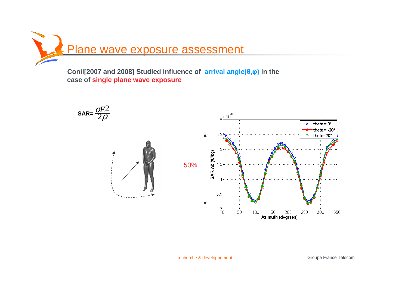Plane wave exposure assessment

**Conil[2007 and 2008] Studied influence of arrival angle(**θ**,**φ**) in the case of single plane wave exposure**

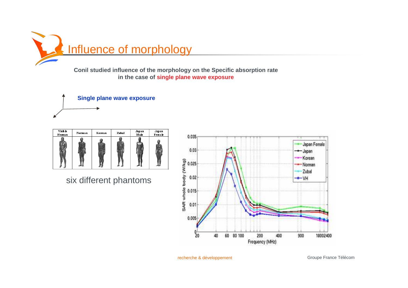

**Conil studied influence of the morphology on the Specific absorption ratein the case of single plane wave exposure**





six different phantoms

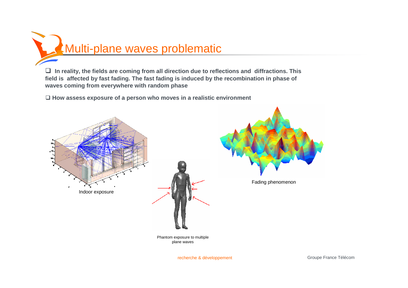

□ In reality, the fields are coming from all direction due to reflections and diffractions. This<br>**field is affected by fast fading. The fast** fading is induced by the recombination in phase of **field is affected by fast fading. The fast fading is induced by the recombination in phase of waves coming from everywhere with random phase**

- **How assess exposure of a person who moves in a realistic environment**

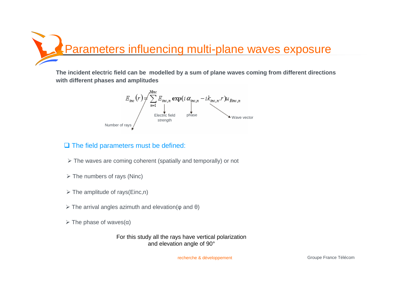Parameters influencing multi-plane waves exposure

**The incident electric field can be modelled by a sum of plane waves coming from different directions with different phases and amplitudes**



# **□ The field parameters must be defined:**

- $\triangleright$  The waves are coming coherent (spatially and temporally) or not
- $\triangleright$  The numbers of rays (Ninc)
- $\triangleright$  The amplitude of rays(Einc,n)
- $\triangleright$  The arrival angles azimuth and elevation(φ and θ)
- $\triangleright$  The phase of waves( $\alpha$ )

For this study all the rays have vertical polarizationand elevation angle of 90°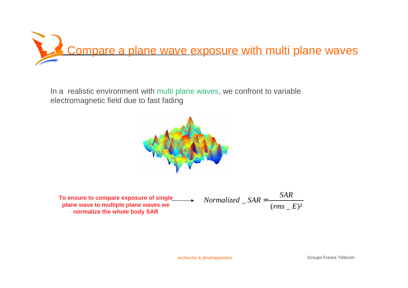

In a realistic environment with multi plane waves, we confront to variable electromagnetic field due to fast fading



**To ensure to compare exposure of single plane wave to multiple plane waves wenormalize the whole body SAR**es we  $\qquad \qquad (rms \t E)^2$ *SARNormalized SAR* <sup>=</sup>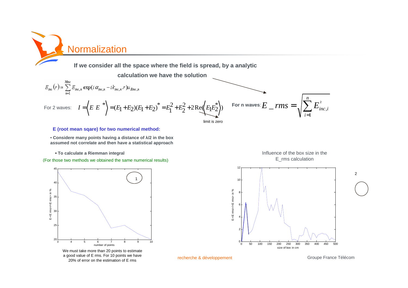**Normalization** 

**If we consider all the space where the field is spread, by a analytic**

**calculation we have the solution**

$$
E_{inc}(r) = \sum_{n=1}^{Ninc} E_{inc,n} \exp(i \alpha_{inc,n} - i k_{inc,n} \cdot r) \mu_{Enc,n}
$$
  
For 2 waves: 
$$
I = \left\langle E \ E \ \right\rangle^{*} = (E_1 + E_2)(E_1 + E_2)^{*} = E_1^2 + E_2^2 + 2 \text{Re}(\left\langle E_1 E_2^* \right\rangle) \qquad \text{For } n \text{ waves: } E \ \text{if} \ \text{if} \ \text{if} \ \text{if} \ \text{if} \ \text{if} \ \text{if} \ \text{if} \ \text{if} \ \text{if} \ \text{if} \ \text{if} \ \text{if} \ \text{if} \ \text{if} \ \text{if} \ \text{if} \ \text{if} \ \text{if} \ \text{if} \ \text{if} \ \text{if} \ \text{if} \ \text{if} \ \text{if} \ \text{if} \ \text{if} \ \text{if} \ \text{if} \ \text{if} \ \text{if} \ \text{if} \ \text{if} \ \text{if} \ \text{if} \ \text{if} \ \text{if} \ \text{if} \ \text{if} \ \text{if} \ \text{if} \ \text{if} \ \text{if} \ \text{if} \ \text{if} \ \text{if} \ \text{if} \ \text{if} \ \text{if} \ \text{if} \ \text{if} \ \text{if} \ \text{if} \ \text{if} \ \text{if} \ \text{if} \ \text{if} \ \text{if} \ \text{if} \ \text{if} \ \text{if} \ \text{if} \ \text{if} \ \text{if} \ \text{if} \ \text{if} \ \text{if} \ \text{if} \ \text{if} \ \text{if} \ \text{if} \ \text{if} \ \text{if} \ \text{if} \ \text{if} \ \text{if} \ \text{if} \ \text{if} \ \text{if} \ \text{if} \ \text{if} \ \text{if} \ \text{if} \ \text{if} \ \text{if} \ \text{if} \ \text{if} \ \text{if} \ \text{if} \ \text{if} \ \text{if} \ \text{if} \ \text{if} \ \text{if} \ \text{if} \ \text{if} \ \text{if} \ \text{if} \ \text{if} \ \text{if} \ \text{if
$$

#### **E (root mean sqare) for two numerical method:**

• **Considere many points having a distance of** λ**/2 in the box assumed not correlate and then have a statistical approach**

• **To calculate a Riemman integral**

(For those two methods we obtained the same numerical results)





Influence of the box size in the

recherche & développement

Groupe France Télécom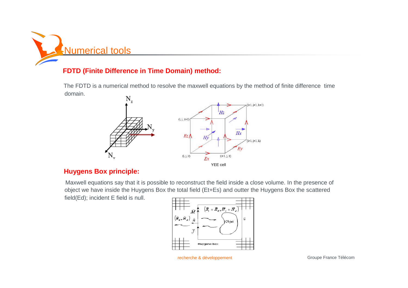

## **FDTD (Finite Difference in Time Domain) method:**

The FDTD is a numerical method to resolve the maxwell equations by the method of finite difference time domain.



### **Huygens Box principle:**

Maxwell equations say that it is possible to reconstruct the field inside a close volume. In the presence of object we have inside the Huygens Box the total field (Et+Es) and outter the Huygens Box the scattered field(Ed); incident E field is null.

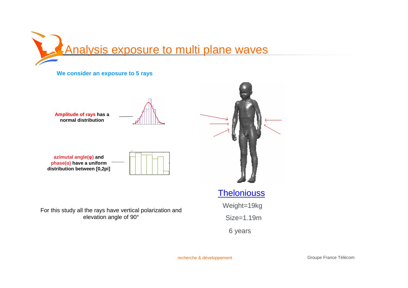

#### **We consider an exposure to 5 rays**



Groupe France Télécom

recherche & développement

6 years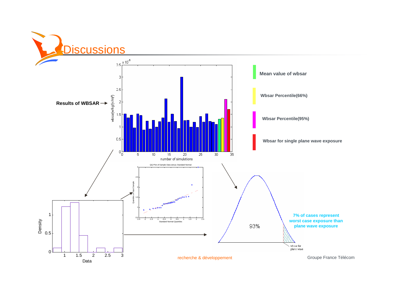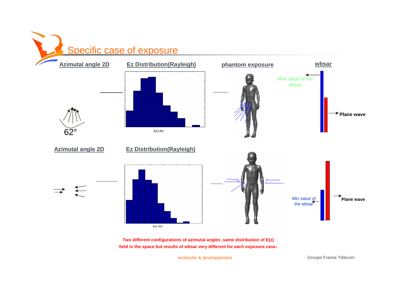

**Two different configurations of azimutal angles ,same distribution of E(z) field in the space but results of wbsar very different for each exposure case.**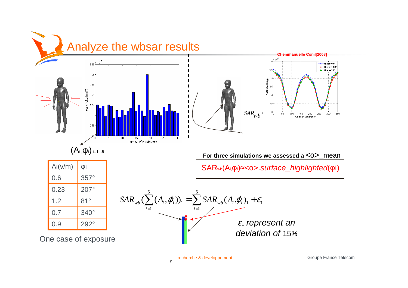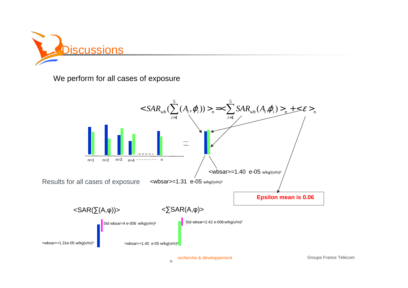

We perform for all cases of exposure

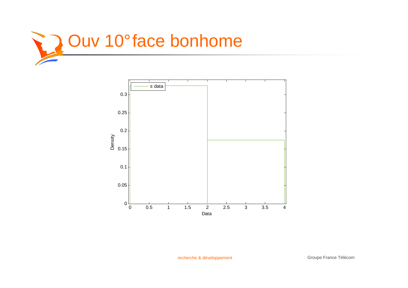

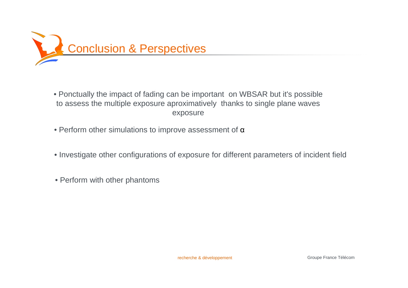

- Ponctually the impact of fading can be important on WBSAR but it's possible to assess the multiple exposure aproximatively thanks to single plane wavesexposure
- Perform other simulations to improve assessment of  $\bm{\alpha}$
- Investigate other configurations of exposure for different parameters of incident field
- Perform with other phantoms